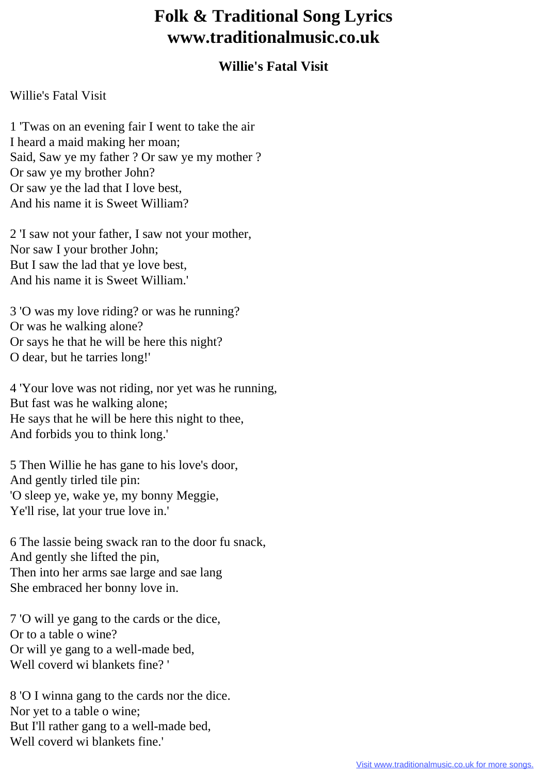## **Folk & Traditional Song Lyrics www.traditionalmusic.co.uk**

## **Willie's Fatal Visit**

## Willie's Fatal Visit

1 'Twas on an evening fair I went to take the air I heard a maid making her moan; Said, Saw ye my father ? Or saw ye my mother ? Or saw ye my brother John? Or saw ye the lad that I love best, And his name it is Sweet William?

2 'I saw not your father, I saw not your mother, Nor saw I your brother John; But I saw the lad that ye love best, And his name it is Sweet William.'

3 'O was my love riding? or was he running? Or was he walking alone? Or says he that he will be here this night? O dear, but he tarries long!'

4 'Your love was not riding, nor yet was he running, But fast was he walking alone; He says that he will be here this night to thee, And forbids you to think long.'

5 Then Willie he has gane to his love's door, And gently tirled tile pin: 'O sleep ye, wake ye, my bonny Meggie, Ye'll rise, lat your true love in.'

6 The lassie being swack ran to the door fu snack, And gently she lifted the pin, Then into her arms sae large and sae lang She embraced her bonny love in.

7 'O will ye gang to the cards or the dice, Or to a table o wine? Or will ye gang to a well-made bed, Well coverd wi blankets fine? '

8 'O I winna gang to the cards nor the dice. Nor yet to a table o wine; But I'll rather gang to a well-made bed, Well coverd wi blankets fine.'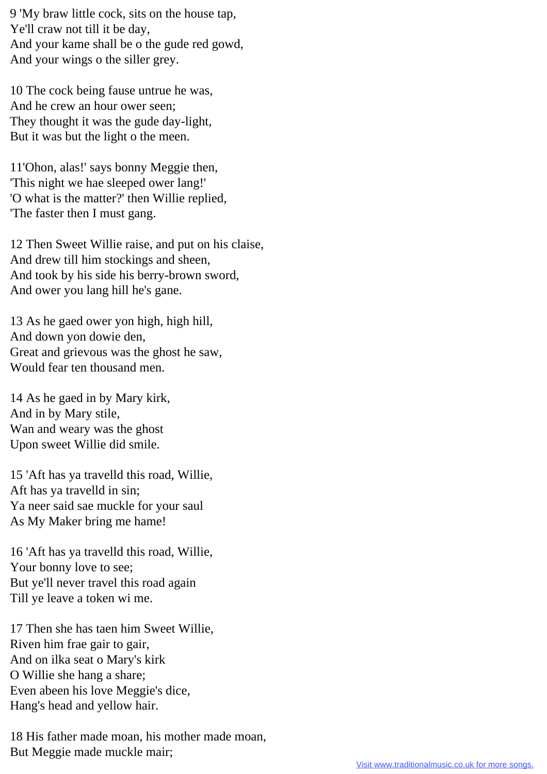9 'My braw little cock, sits on the house tap, Ye'll craw not till it be day, And your kame shall be o the gude red gowd, And your wings o the siller grey.

10 The cock being fause untrue he was, And he crew an hour ower seen; They thought it was the gude day-light, But it was but the light o the meen.

11'Ohon, alas!' says bonny Meggie then, 'This night we hae sleeped ower lang!' 'O what is the matter?' then Willie replied, 'The faster then I must gang.

12 Then Sweet Willie raise, and put on his claise, And drew till him stockings and sheen, And took by his side his berry-brown sword, And ower you lang hill he's gane.

13 As he gaed ower yon high, high hill, And down yon dowie den, Great and grievous was the ghost he saw, Would fear ten thousand men.

14 As he gaed in by Mary kirk, And in by Mary stile, Wan and weary was the ghost Upon sweet Willie did smile.

15 'Aft has ya travelld this road, Willie, Aft has ya travelld in sin; Ya neer said sae muckle for your saul As My Maker bring me hame!

16 'Aft has ya travelld this road, Willie, Your bonny love to see; But ye'll never travel this road again Till ye leave a token wi me.

17 Then she has taen him Sweet Willie, Riven him frae gair to gair, And on ilka seat o Mary's kirk O Willie she hang a share; Even abeen his love Meggie's dice, Hang's head and yellow hair.

18 His father made moan, his mother made moan, But Meggie made muckle mair;